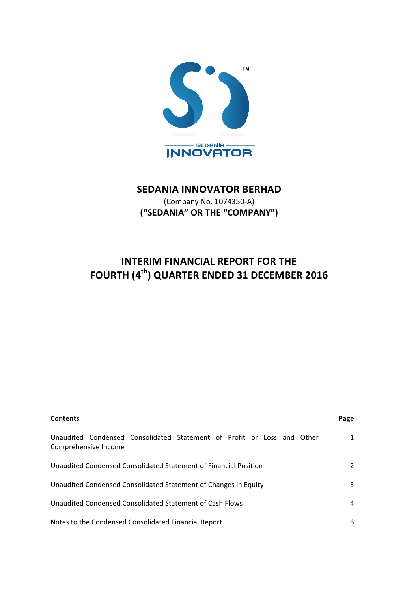

# **SEDANIA INNOVATOR BERHAD**

(Company No. 1074350-A) **("SEDANIA" OR THE "COMPANY")**

# **INTERIM FINANCIAL REPORT FOR THE FOURTH (4th) QUARTER ENDED 31 DECEMBER 2016**

| <b>Contents</b>                                                                                | Page |
|------------------------------------------------------------------------------------------------|------|
| Unaudited Condensed Consolidated Statement of Profit or Loss and Other<br>Comprehensive Income | 1    |
| Unaudited Condensed Consolidated Statement of Financial Position                               | 2    |
| Unaudited Condensed Consolidated Statement of Changes in Equity                                | 3    |
| Unaudited Condensed Consolidated Statement of Cash Flows                                       | 4    |
| Notes to the Condensed Consolidated Financial Report                                           | 6    |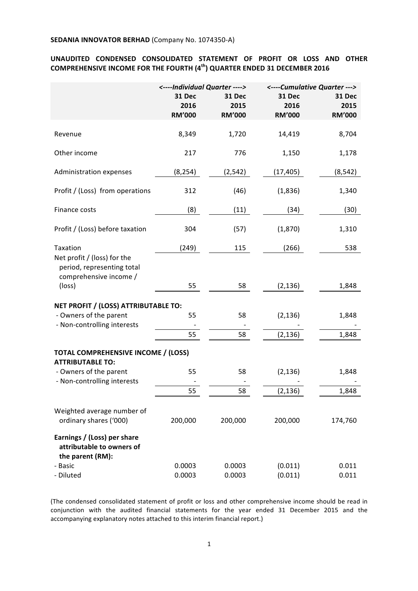# UNAUDITED CONDENSED CONSOLIDATED STATEMENT OF PROFIT OR LOSS AND OTHER **COMPREHENSIVE INCOME FOR THE FOURTH (4<sup>th</sup>) QUARTER ENDED 31 DECEMBER 2016**

|                                                                                     | <----Individual Quarter ----> |               | <----Cumulative Quarter ---> |               |
|-------------------------------------------------------------------------------------|-------------------------------|---------------|------------------------------|---------------|
|                                                                                     | 31 Dec                        | 31 Dec        | 31 Dec                       | 31 Dec        |
|                                                                                     | 2016                          | 2015          | 2016                         | 2015          |
|                                                                                     | <b>RM'000</b>                 | <b>RM'000</b> | <b>RM'000</b>                | <b>RM'000</b> |
| Revenue                                                                             | 8,349                         | 1,720         | 14,419                       | 8,704         |
| Other income                                                                        | 217                           | 776           | 1,150                        | 1,178         |
| Administration expenses                                                             | (8, 254)                      | (2, 542)      | (17, 405)                    | (8, 542)      |
| Profit / (Loss) from operations                                                     | 312                           | (46)          | (1,836)                      | 1,340         |
| Finance costs                                                                       | (8)                           | (11)          | (34)                         | (30)          |
| Profit / (Loss) before taxation                                                     | 304                           | (57)          | (1,870)                      | 1,310         |
| Taxation                                                                            | (249)                         | 115           | (266)                        | 538           |
| Net profit / (loss) for the<br>period, representing total<br>comprehensive income / |                               |               |                              |               |
| (loss)                                                                              | 55                            | 58            | (2, 136)                     | 1,848         |
| NET PROFIT / (LOSS) ATTRIBUTABLE TO:                                                |                               |               |                              |               |
| - Owners of the parent                                                              | 55                            | 58            | (2, 136)                     | 1,848         |
| - Non-controlling interests                                                         |                               |               |                              |               |
|                                                                                     | 55                            | 58            | (2, 136)                     | 1,848         |
| <b>TOTAL COMPREHENSIVE INCOME / (LOSS)</b><br><b>ATTRIBUTABLE TO:</b>               |                               |               |                              |               |
| - Owners of the parent                                                              | 55                            | 58            | (2, 136)                     | 1,848         |
| - Non-controlling interests                                                         |                               |               |                              |               |
|                                                                                     | 55                            | 58            | (2, 136)                     | 1,848         |
| Weighted average number of                                                          |                               |               |                              |               |
| ordinary shares ('000)                                                              | 200,000                       | 200,000       | 200,000                      | 174,760       |
| Earnings / (Loss) per share<br>attributable to owners of<br>the parent (RM):        |                               |               |                              |               |
| - Basic                                                                             | 0.0003                        | 0.0003        | (0.011)                      | 0.011         |
| - Diluted                                                                           | 0.0003                        | 0.0003        | (0.011)                      | 0.011         |

(The condensed consolidated statement of profit or loss and other comprehensive income should be read in conjunction with the audited financial statements for the year ended 31 December 2015 and the accompanying explanatory notes attached to this interim financial report.)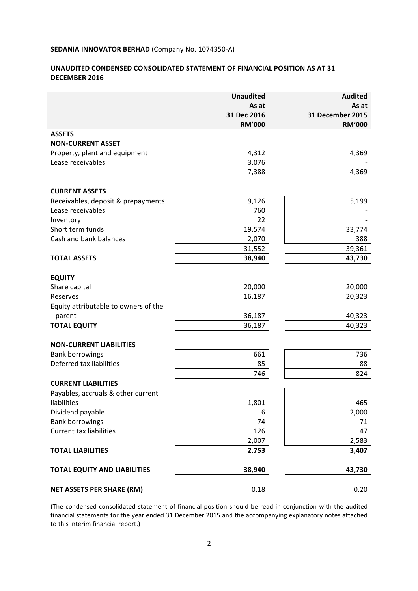# **UNAUDITED CONDENSED CONSOLIDATED STATEMENT OF FINANCIAL POSITION AS AT 31 DECEMBER 2016**

|                                      | <b>Unaudited</b> | <b>Audited</b>          |
|--------------------------------------|------------------|-------------------------|
|                                      | As at            | As at                   |
|                                      | 31 Dec 2016      | <b>31 December 2015</b> |
| <b>ASSETS</b>                        | <b>RM'000</b>    | <b>RM'000</b>           |
| <b>NON-CURRENT ASSET</b>             |                  |                         |
| Property, plant and equipment        | 4,312            | 4,369                   |
| Lease receivables                    | 3,076            |                         |
|                                      | 7,388            | 4,369                   |
|                                      |                  |                         |
| <b>CURRENT ASSETS</b>                |                  |                         |
| Receivables, deposit & prepayments   | 9,126            | 5,199                   |
| Lease receivables                    | 760              |                         |
| Inventory                            | 22               |                         |
| Short term funds                     | 19,574           | 33,774                  |
| Cash and bank balances               | 2,070            | 388                     |
|                                      | 31,552           | 39,361                  |
| <b>TOTAL ASSETS</b>                  | 38,940           | 43,730                  |
| <b>EQUITY</b>                        |                  |                         |
| Share capital                        | 20,000           | 20,000                  |
| Reserves                             | 16,187           | 20,323                  |
| Equity attributable to owners of the |                  |                         |
| parent                               | 36,187           | 40,323                  |
| <b>TOTAL EQUITY</b>                  | 36,187           | 40,323                  |
| <b>NON-CURRENT LIABILITIES</b>       |                  |                         |
| <b>Bank borrowings</b>               | 661              | 736                     |
| Deferred tax liabilities             | 85               | 88                      |
|                                      | 746              | 824                     |
| <b>CURRENT LIABILITIES</b>           |                  |                         |
| Payables, accruals & other current   |                  |                         |
| liabilities                          | 1,801            | 465                     |
| Dividend payable                     | 6                | 2,000                   |
| <b>Bank borrowings</b>               | 74               | 71                      |
| <b>Current tax liabilities</b>       | 126              | 47                      |
|                                      | 2,007            | 2,583                   |
| <b>TOTAL LIABILITIES</b>             | 2,753            | 3,407                   |
| <b>TOTAL EQUITY AND LIABILITIES</b>  | 38,940           | 43,730                  |
|                                      |                  |                         |
| <b>NET ASSETS PER SHARE (RM)</b>     | 0.18             | 0.20                    |

(The condensed consolidated statement of financial position should be read in conjunction with the audited financial statements for the year ended 31 December 2015 and the accompanying explanatory notes attached to this interim financial report.)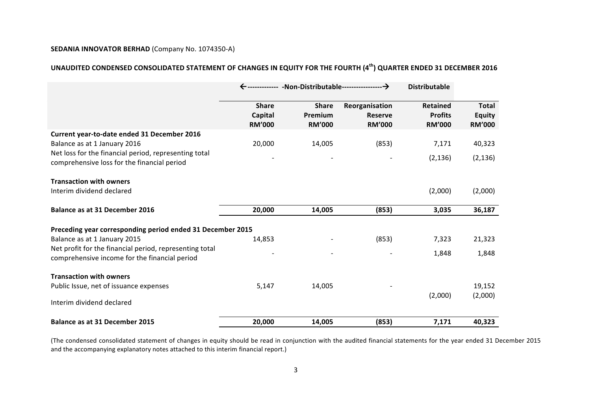# **UNAUDITED CONDENSED CONSOLIDATED STATEMENT OF CHANGES IN EQUITY FOR THE FOURTH (4th) QUARTER ENDED 31 DECEMBER 2016**

|                                                                                                          |                                          |                                          | <b>Distributable</b>                              |                                                    |                                                |
|----------------------------------------------------------------------------------------------------------|------------------------------------------|------------------------------------------|---------------------------------------------------|----------------------------------------------------|------------------------------------------------|
|                                                                                                          | <b>Share</b><br>Capital<br><b>RM'000</b> | <b>Share</b><br>Premium<br><b>RM'000</b> | Reorganisation<br><b>Reserve</b><br><b>RM'000</b> | <b>Retained</b><br><b>Profits</b><br><b>RM'000</b> | <b>Total</b><br><b>Equity</b><br><b>RM'000</b> |
| Current year-to-date ended 31 December 2016<br>Balance as at 1 January 2016                              | 20,000                                   | 14,005                                   | (853)                                             | 7,171                                              | 40,323                                         |
| Net loss for the financial period, representing total<br>comprehensive loss for the financial period     |                                          |                                          |                                                   | (2, 136)                                           | (2, 136)                                       |
| <b>Transaction with owners</b>                                                                           |                                          |                                          |                                                   |                                                    |                                                |
| Interim dividend declared                                                                                |                                          |                                          |                                                   | (2,000)                                            | (2,000)                                        |
| <b>Balance as at 31 December 2016</b>                                                                    | 20,000                                   | 14,005                                   | (853)                                             | 3,035                                              | 36,187                                         |
| Preceding year corresponding period ended 31 December 2015                                               |                                          |                                          |                                                   |                                                    |                                                |
| Balance as at 1 January 2015                                                                             | 14,853                                   |                                          | (853)                                             | 7,323                                              | 21,323                                         |
| Net profit for the financial period, representing total<br>comprehensive income for the financial period |                                          |                                          |                                                   | 1,848                                              | 1,848                                          |
| <b>Transaction with owners</b>                                                                           |                                          |                                          |                                                   |                                                    |                                                |
| Public Issue, net of issuance expenses                                                                   | 5,147                                    | 14,005                                   |                                                   |                                                    | 19,152                                         |
| Interim dividend declared                                                                                |                                          |                                          |                                                   | (2,000)                                            | (2,000)                                        |
| <b>Balance as at 31 December 2015</b>                                                                    | 20,000                                   | 14,005                                   | (853)                                             | 7,171                                              | 40,323                                         |

(The condensed consolidated statement of changes in equity should be read in conjunction with the audited financial statements for the year ended 31 December 2015 and the accompanying explanatory notes attached to this interim financial report.)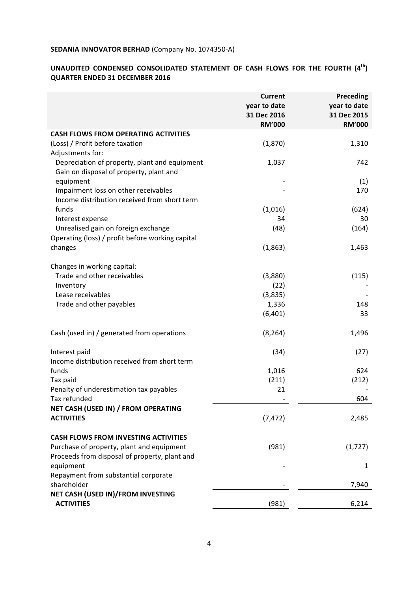# UNAUDITED CONDENSED CONSOLIDATED STATEMENT OF CASH FLOWS FOR THE FOURTH  $(4^{th})$ **QUARTER ENDED 31 DECEMBER 2016**

|                                                                                          | <b>Current</b><br>year to date<br>31 Dec 2016<br><b>RM'000</b> | <b>Preceding</b><br>year to date<br>31 Dec 2015<br><b>RM'000</b> |
|------------------------------------------------------------------------------------------|----------------------------------------------------------------|------------------------------------------------------------------|
| <b>CASH FLOWS FROM OPERATING ACTIVITIES</b>                                              |                                                                |                                                                  |
| (Loss) / Profit before taxation<br>Adjustments for:                                      | (1,870)                                                        | 1,310                                                            |
| Depreciation of property, plant and equipment<br>Gain on disposal of property, plant and | 1,037                                                          | 742                                                              |
| equipment                                                                                |                                                                | (1)                                                              |
| Impairment loss on other receivables<br>Income distribution received from short term     |                                                                | 170                                                              |
| funds                                                                                    | (1,016)                                                        | (624)                                                            |
| Interest expense                                                                         | 34                                                             | 30                                                               |
| Unrealised gain on foreign exchange                                                      | (48)                                                           | (164)                                                            |
| Operating (loss) / profit before working capital                                         |                                                                |                                                                  |
| changes                                                                                  | (1,863)                                                        | 1,463                                                            |
| Changes in working capital:                                                              |                                                                |                                                                  |
| Trade and other receivables                                                              | (3,880)                                                        | (115)                                                            |
| Inventory                                                                                | (22)                                                           |                                                                  |
| Lease receivables                                                                        | (3,835)                                                        |                                                                  |
| Trade and other payables                                                                 | 1,336                                                          | 148                                                              |
|                                                                                          | (6, 401)                                                       | 33                                                               |
| Cash (used in) / generated from operations                                               | (8, 264)                                                       | 1,496                                                            |
| Interest paid                                                                            | (34)                                                           | (27)                                                             |
| Income distribution received from short term                                             |                                                                |                                                                  |
| funds                                                                                    | 1,016                                                          | 624                                                              |
| Tax paid                                                                                 | (211)                                                          | (212)                                                            |
| Penalty of underestimation tax payables                                                  | 21                                                             |                                                                  |
| Tax refunded                                                                             |                                                                | 604                                                              |
| NET CASH (USED IN) / FROM OPERATING                                                      |                                                                |                                                                  |
| <b>ACTIVITIES</b>                                                                        | (7, 472)                                                       | 2,485                                                            |
| <b>CASH FLOWS FROM INVESTING ACTIVITIES</b>                                              |                                                                |                                                                  |
| Purchase of property, plant and equipment                                                | (981)                                                          | (1, 727)                                                         |
| Proceeds from disposal of property, plant and                                            |                                                                |                                                                  |
| equipment                                                                                |                                                                | 1                                                                |
| Repayment from substantial corporate                                                     |                                                                |                                                                  |
| shareholder                                                                              |                                                                | 7,940                                                            |
| NET CASH (USED IN)/FROM INVESTING                                                        |                                                                |                                                                  |
| <b>ACTIVITIES</b>                                                                        | (981)                                                          | 6,214                                                            |
|                                                                                          |                                                                |                                                                  |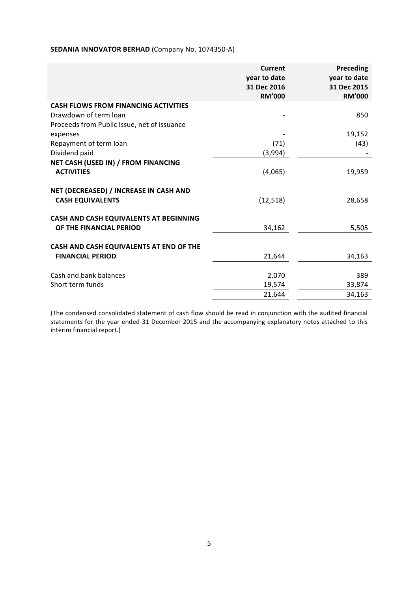| <b>RM'000</b><br><b>RM'000</b><br><b>CASH FLOWS FROM FINANCING ACTIVITIES</b><br>Drawdown of term loan<br>850 |
|---------------------------------------------------------------------------------------------------------------|
|                                                                                                               |
|                                                                                                               |
|                                                                                                               |
| Proceeds from Public Issue, net of issuance                                                                   |
| 19,152<br>expenses                                                                                            |
| (43)<br>Repayment of term loan<br>(71)                                                                        |
| Dividend paid<br>(3,994)                                                                                      |
| NET CASH (USED IN) / FROM FINANCING                                                                           |
| <b>ACTIVITIES</b><br>19,959<br>(4,065)                                                                        |
| NET (DECREASED) / INCREASE IN CASH AND<br><b>CASH EQUIVALENTS</b><br>(12, 518)<br>28,658                      |
| CASH AND CASH EQUIVALENTS AT BEGINNING<br>OF THE FINANCIAL PERIOD<br>5,505<br>34,162                          |
| CASH AND CASH EQUIVALENTS AT END OF THE                                                                       |
| <b>FINANCIAL PERIOD</b><br>21,644<br>34,163                                                                   |
| Cash and bank balances<br>2,070<br>389                                                                        |
| Short term funds<br>19,574<br>33,874                                                                          |
| 21,644<br>34,163                                                                                              |

(The condensed consolidated statement of cash flow should be read in conjunction with the audited financial statements for the year ended 31 December 2015 and the accompanying explanatory notes attached to this interim financial report.)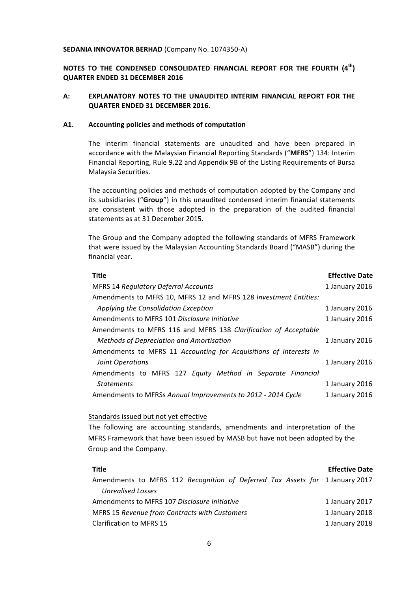# **NOTES TO THE CONDENSED CONSOLIDATED FINANCIAL REPORT FOR THE FOURTH (4<sup>th</sup>) QUARTER ENDED 31 DECEMBER 2016**

# A: **EXPLANATORY NOTES TO THE UNAUDITED INTERIM FINANCIAL REPORT FOR THE QUARTER ENDED 31 DECEMBER 2016.**

#### A1. Accounting policies and methods of computation

The interim financial statements are unaudited and have been prepared in accordance with the Malaysian Financial Reporting Standards ("MFRS") 134: Interim Financial Reporting, Rule 9.22 and Appendix 9B of the Listing Requirements of Bursa Malaysia Securities.

The accounting policies and methods of computation adopted by the Company and its subsidiaries ("Group") in this unaudited condensed interim financial statements are consistent with those adopted in the preparation of the audited financial statements as at 31 December 2015.

The Group and the Company adopted the following standards of MFRS Framework that were issued by the Malaysian Accounting Standards Board ("MASB") during the financial year.

| <b>Effective Date</b> |
|-----------------------|
| 1 January 2016        |
|                       |
| 1 January 2016        |
| 1 January 2016        |
|                       |
| 1 January 2016        |
|                       |
| 1 January 2016        |
|                       |
| 1 January 2016        |
| 1 January 2016        |
|                       |

#### Standards issued but not yet effective

The following are accounting standards, amendments and interpretation of the MFRS Framework that have been issued by MASB but have not been adopted by the Group and the Company.

| Title                                                                        | <b>Effective Date</b> |
|------------------------------------------------------------------------------|-----------------------|
| Amendments to MFRS 112 Recognition of Deferred Tax Assets for 1 January 2017 |                       |
| Unrealised Losses                                                            |                       |
| Amendments to MFRS 107 Disclosure Initiative                                 | 1 January 2017        |
| <b>MFRS 15 Revenue from Contracts with Customers</b>                         | 1 January 2018        |
| <b>Clarification to MFRS 15</b>                                              | 1 January 2018        |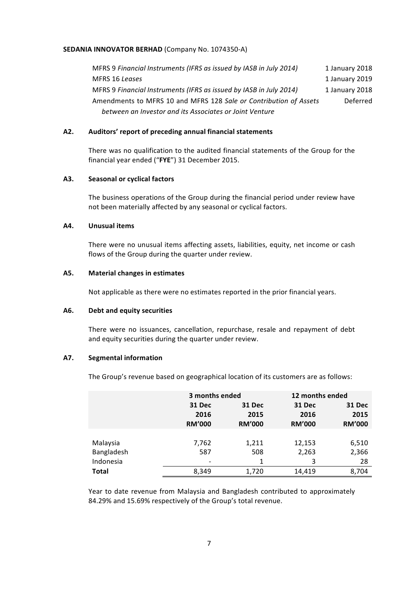MFRS 9 Financial Instruments (IFRS as issued by IASB in July 2014) 1 January 2018 MFRS 16 Leases 2019 MFRS 9 *Financial Instruments (IFRS as issued by IASB in July 2014)* 1 January 2018 Amendments to MFRS 10 and MFRS 128 Sale or Contribution of Assets *between an Investor and its Associates or Joint Venture* Deferred

#### A2. Auditors' report of preceding annual financial statements

There was no qualification to the audited financial statements of the Group for the financial year ended ("FYE") 31 December 2015.

#### **A3. Seasonal or cyclical factors**

The business operations of the Group during the financial period under review have not been materially affected by any seasonal or cyclical factors.

#### **A4. Unusual items**

There were no unusual items affecting assets, liabilities, equity, net income or cash flows of the Group during the quarter under review.

#### A5. Material changes in estimates

Not applicable as there were no estimates reported in the prior financial years.

#### **A6. Debt and equity securities**

There were no issuances, cancellation, repurchase, resale and repayment of debt and equity securities during the quarter under review.

#### **A7. Segmental information**

The Group's revenue based on geographical location of its customers are as follows:

|              | 3 months ended                  |                                 | 12 months ended                 |                                        |
|--------------|---------------------------------|---------------------------------|---------------------------------|----------------------------------------|
|              | 31 Dec<br>2016<br><b>RM'000</b> | 31 Dec<br>2015<br><b>RM'000</b> | 31 Dec<br>2016<br><b>RM'000</b> | <b>31 Dec</b><br>2015<br><b>RM'000</b> |
|              |                                 |                                 |                                 |                                        |
| Malaysia     | 7,762                           | 1,211                           | 12,153                          | 6,510                                  |
| Bangladesh   | 587                             | 508                             | 2,263                           | 2,366                                  |
| Indonesia    |                                 |                                 | 3                               | 28                                     |
| <b>Total</b> | 8,349                           | 1,720                           | 14,419                          | 8,704                                  |

Year to date revenue from Malaysia and Bangladesh contributed to approximately 84.29% and 15.69% respectively of the Group's total revenue.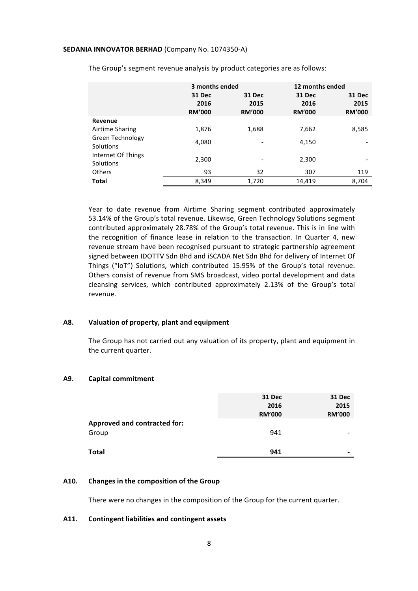|                    | 3 months ended |               |               | 12 months ended |
|--------------------|----------------|---------------|---------------|-----------------|
|                    | <b>31 Dec</b>  | 31 Dec        | <b>31 Dec</b> | <b>31 Dec</b>   |
|                    | 2016           | 2015          | 2016          | 2015            |
|                    | <b>RM'000</b>  | <b>RM'000</b> | <b>RM'000</b> | <b>RM'000</b>   |
| Revenue            |                |               |               |                 |
| Airtime Sharing    | 1,876          | 1,688         | 7,662         | 8,585           |
| Green Technology   | 4,080          |               | 4,150         |                 |
| Solutions          |                |               |               |                 |
| Internet Of Things | 2,300          |               | 2,300         |                 |
| Solutions          |                |               |               |                 |
| <b>Others</b>      | 93             | 32            | 307           | 119             |
| <b>Total</b>       | 8,349          | 1,720         | 14,419        | 8,704           |

The Group's segment revenue analysis by product categories are as follows:

Year to date revenue from Airtime Sharing segment contributed approximately 53.14% of the Group's total revenue. Likewise, Green Technology Solutions segment contributed approximately 28.78% of the Group's total revenue. This is in line with the recognition of finance lease in relation to the transaction. In Quarter 4, new revenue stream have been recognised pursuant to strategic partnership agreement signed between IDOTTV Sdn Bhd and iSCADA Net Sdn Bhd for delivery of Internet Of Things ("IoT") Solutions, which contributed 15.95% of the Group's total revenue. Others consist of revenue from SMS broadcast, video portal development and data cleansing services, which contributed approximately 2.13% of the Group's total revenue.

#### A8. Valuation of property, plant and equipment

The Group has not carried out any valuation of its property, plant and equipment in the current quarter.

#### **A9. Capital commitment**

|                                     | <b>31 Dec</b><br>2016<br><b>RM'000</b> | <b>31 Dec</b><br>2015<br><b>RM'000</b> |
|-------------------------------------|----------------------------------------|----------------------------------------|
| <b>Approved and contracted for:</b> |                                        |                                        |
| Group                               | 941                                    | -                                      |
| <b>Total</b>                        | 941                                    | $\overline{\phantom{0}}$               |
|                                     |                                        |                                        |

# A10. Changes in the composition of the Group

There were no changes in the composition of the Group for the current quarter.

## **A11. Contingent liabilities and contingent assets**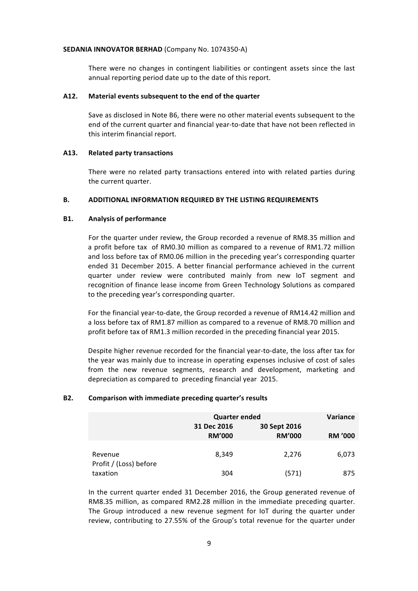There were no changes in contingent liabilities or contingent assets since the last annual reporting period date up to the date of this report.

#### A12. Material events subsequent to the end of the quarter

Save as disclosed in Note B6, there were no other material events subsequent to the end of the current quarter and financial year-to-date that have not been reflected in this interim financial report.

#### **A13. Related party transactions**

There were no related party transactions entered into with related parties during the current quarter.

#### **B. ADDITIONAL INFORMATION REQUIRED BY THE LISTING REQUIREMENTS**

#### **B1.** Analysis of performance

For the quarter under review, the Group recorded a revenue of RM8.35 million and a profit before tax of RM0.30 million as compared to a revenue of RM1.72 million and loss before tax of RM0.06 million in the preceding year's corresponding quarter ended 31 December 2015. A better financial performance achieved in the current quarter under review were contributed mainly from new IoT segment and recognition of finance lease income from Green Technology Solutions as compared to the preceding year's corresponding quarter.

For the financial year-to-date, the Group recorded a revenue of RM14.42 million and a loss before tax of RM1.87 million as compared to a revenue of RM8.70 million and profit before tax of RM1.3 million recorded in the preceding financial year 2015.

Despite higher revenue recorded for the financial year-to-date, the loss after tax for the year was mainly due to increase in operating expenses inclusive of cost of sales from the new revenue segments, research and development, marketing and depreciation as compared to preceding financial year 2015.

#### **B2.** Comparison with immediate preceding quarter's results

|                                   | <b>Quarter ended</b>         |                               | <b>Variance</b> |
|-----------------------------------|------------------------------|-------------------------------|-----------------|
|                                   | 31 Dec 2016<br><b>RM'000</b> | 30 Sept 2016<br><b>RM'000</b> | <b>RM '000</b>  |
| Revenue<br>Profit / (Loss) before | 8.349                        | 2,276                         | 6,073           |
| taxation                          | 304                          | (571)                         | 875             |

In the current quarter ended 31 December 2016, the Group generated revenue of RM8.35 million, as compared RM2.28 million in the immediate preceding quarter. The Group introduced a new revenue segment for IoT during the quarter under review, contributing to 27.55% of the Group's total revenue for the quarter under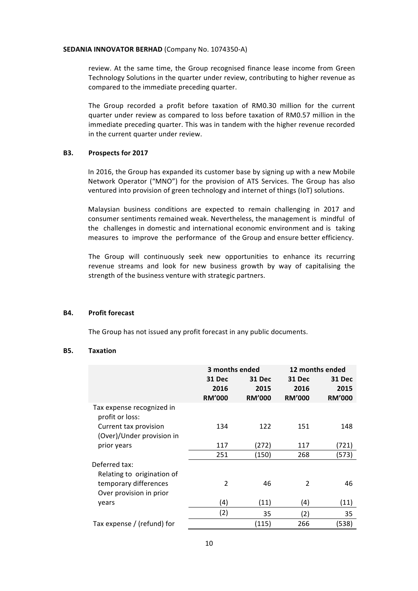review. At the same time, the Group recognised finance lease income from Green Technology Solutions in the quarter under review, contributing to higher revenue as compared to the immediate preceding quarter.

The Group recorded a profit before taxation of RM0.30 million for the current quarter under review as compared to loss before taxation of RM0.57 million in the immediate preceding quarter. This was in tandem with the higher revenue recorded in the current quarter under review.

## **B3.** Prospects for 2017

In 2016, the Group has expanded its customer base by signing up with a new Mobile Network Operator ("MNO") for the provision of ATS Services. The Group has also ventured into provision of green technology and internet of things (IoT) solutions.

Malaysian business conditions are expected to remain challenging in 2017 and consumer sentiments remained weak. Nevertheless, the management is mindful of the challenges in domestic and international economic environment and is taking measures to improve the performance of the Group and ensure better efficiency.

The Group will continuously seek new opportunities to enhance its recurring revenue streams and look for new business growth by way of capitalising the strength of the business venture with strategic partners.

#### **B4.** Profit forecast

The Group has not issued any profit forecast in any public documents.

#### **B5. Taxation**

|                                                    | 3 months ended                  |                                 | 12 months ended                 |                                 |
|----------------------------------------------------|---------------------------------|---------------------------------|---------------------------------|---------------------------------|
|                                                    | 31 Dec<br>2016<br><b>RM'000</b> | 31 Dec<br>2015<br><b>RM'000</b> | 31 Dec<br>2016<br><b>RM'000</b> | 31 Dec<br>2015<br><b>RM'000</b> |
| Tax expense recognized in<br>profit or loss:       |                                 |                                 |                                 |                                 |
| Current tax provision<br>(Over)/Under provision in | 134                             | 122                             | 151                             | 148                             |
| prior years                                        | 117                             | (272)                           | 117                             | (721)                           |
|                                                    | 251                             | (150)                           | 268                             | (573)                           |
| Deferred tax:<br>Relating to origination of        |                                 |                                 |                                 |                                 |
| temporary differences<br>Over provision in prior   | 2                               | 46                              | 2                               | 46                              |
| years                                              | (4)                             | (11)                            | (4)                             | (11)                            |
|                                                    | (2)                             | 35                              | (2)                             | 35                              |
| Tax expense / (refund) for                         |                                 | (115)                           | 266                             | (538)                           |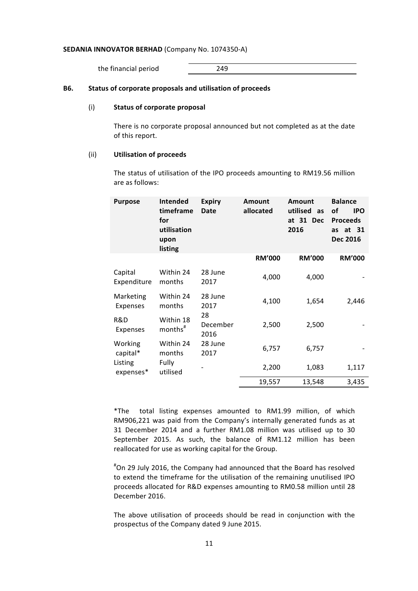the financial period 249

#### **B6.** Status of corporate proposals and utilisation of proceeds

#### (i) **Status of corporate proposal**

There is no corporate proposal announced but not completed as at the date of this report.

#### (ii) **Utilisation of proceeds**

The status of utilisation of the IPO proceeds amounting to RM19.56 million are as follows:

| <b>Purpose</b>         | <b>Intended</b><br>timeframe<br>for<br>utilisation<br>upon<br>listing | <b>Expiry</b><br>Date  | <b>Amount</b><br>allocated | <b>Amount</b><br>utilised<br>as<br>at 31 Dec<br>2016 | <b>Balance</b><br>οf<br><b>IPO</b><br><b>Proceeds</b><br>as at 31<br><b>Dec 2016</b> |
|------------------------|-----------------------------------------------------------------------|------------------------|----------------------------|------------------------------------------------------|--------------------------------------------------------------------------------------|
|                        |                                                                       |                        | <b>RM'000</b>              | <b>RM'000</b>                                        | <b>RM'000</b>                                                                        |
| Capital<br>Expenditure | Within 24<br>months                                                   | 28 June<br>2017        | 4,000                      | 4,000                                                |                                                                                      |
| Marketing<br>Expenses  | Within 24<br>months                                                   | 28 June<br>2017        | 4,100                      | 1,654                                                | 2,446                                                                                |
| R&D<br>Expenses        | Within 18<br>months <sup>#</sup>                                      | 28<br>December<br>2016 | 2,500                      | 2,500                                                |                                                                                      |
| Working<br>capital*    | Within 24<br>months                                                   | 28 June<br>2017        | 6,757                      | 6,757                                                |                                                                                      |
| Listing<br>expenses*   | Fully<br>utilised                                                     |                        | 2,200                      | 1,083                                                | 1,117                                                                                |
|                        |                                                                       |                        | 19,557                     | 13,548                                               | 3,435                                                                                |

\*The total listing expenses amounted to RM1.99 million, of which RM906,221 was paid from the Company's internally generated funds as at 31 December 2014 and a further RM1.08 million was utilised up to 30 September 2015. As such, the balance of RM1.12 million has been reallocated for use as working capital for the Group.

#On 29 July 2016, the Company had announced that the Board has resolved to extend the timeframe for the utilisation of the remaining unutilised IPO proceeds allocated for R&D expenses amounting to RM0.58 million until 28 December 2016.

The above utilisation of proceeds should be read in conjunction with the prospectus of the Company dated 9 June 2015.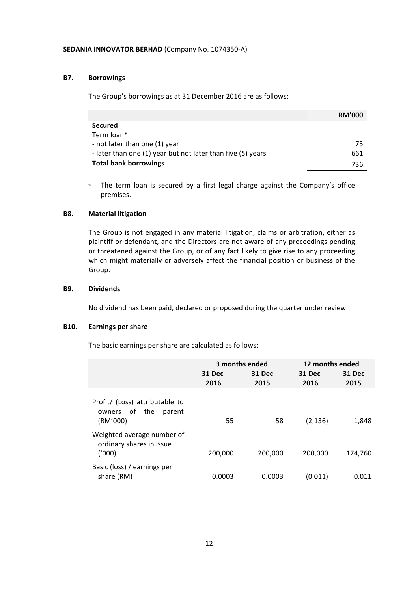## **B7. Borrowings**

The Group's borrowings as at 31 December 2016 are as follows:

|                                                             | <b>RM'000</b> |
|-------------------------------------------------------------|---------------|
| <b>Secured</b>                                              |               |
| Term loan*                                                  |               |
| - not later than one (1) year                               | 75            |
| - later than one (1) year but not later than five (5) years | 661           |
| <b>Total bank borrowings</b>                                | 736           |

\* The term loan is secured by a first legal charge against the Company's office premises.

## **B8. Material litigation**

The Group is not engaged in any material litigation, claims or arbitration, either as plaintiff or defendant, and the Directors are not aware of any proceedings pending or threatened against the Group, or of any fact likely to give rise to any proceeding which might materially or adversely affect the financial position or business of the Group.

# **B9. Dividends**

No dividend has been paid, declared or proposed during the quarter under review.

# **B10. Earnings per share**

The basic earnings per share are calculated as follows:

|                                                                       | 3 months ended |                | 12 months ended |                |
|-----------------------------------------------------------------------|----------------|----------------|-----------------|----------------|
|                                                                       | 31 Dec<br>2016 | 31 Dec<br>2015 | 31 Dec<br>2016  | 31 Dec<br>2015 |
| Profit/ (Loss) attributable to<br>owners of the<br>parent<br>(RM'000) | 55             | 58             | (2, 136)        | 1,848          |
| Weighted average number of<br>ordinary shares in issue<br>(1000)      | 200,000        | 200,000        | 200,000         | 174,760        |
| Basic (loss) / earnings per<br>share (RM)                             | 0.0003         | 0.0003         | (0.011)         | 0.011          |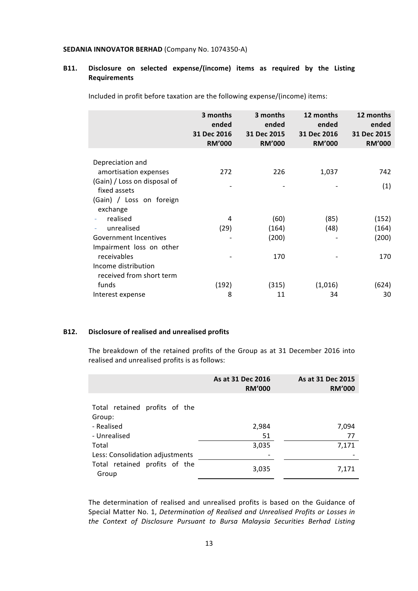# **B11. Disclosure on selected expense/(income) items as required by the Listing Requirements**

Included in profit before taxation are the following expense/(income) items:

| 3 months<br>ended<br>31 Dec 2016<br><b>RM'000</b> | 3 months<br>ended<br>31 Dec 2015<br><b>RM'000</b> | 12 months<br>ended<br>31 Dec 2016<br><b>RM'000</b> | 12 months<br>ended<br>31 Dec 2015<br><b>RM'000</b> |
|---------------------------------------------------|---------------------------------------------------|----------------------------------------------------|----------------------------------------------------|
|                                                   |                                                   |                                                    |                                                    |
|                                                   |                                                   |                                                    | 742                                                |
|                                                   |                                                   |                                                    |                                                    |
|                                                   |                                                   |                                                    | (1)                                                |
|                                                   |                                                   |                                                    |                                                    |
|                                                   |                                                   |                                                    |                                                    |
|                                                   |                                                   |                                                    |                                                    |
|                                                   |                                                   |                                                    | (152)                                              |
| (29)                                              | (164)                                             | (48)                                               | (164)                                              |
|                                                   | (200)                                             |                                                    | (200)                                              |
|                                                   |                                                   |                                                    |                                                    |
|                                                   | 170                                               |                                                    | 170                                                |
|                                                   |                                                   |                                                    |                                                    |
|                                                   |                                                   |                                                    |                                                    |
| (192)                                             | (315)                                             | (1,016)                                            | (624)                                              |
| 8                                                 | 11                                                | 34                                                 | 30                                                 |
|                                                   | 272<br>4                                          | 226<br>(60)                                        | 1,037<br>(85)                                      |

## **B12. Disclosure of realised and unrealised profits**

The breakdown of the retained profits of the Group as at 31 December 2016 into realised and unrealised profits is as follows:

|                                         | As at 31 Dec 2016<br><b>RM'000</b> | As at 31 Dec 2015<br><b>RM'000</b> |
|-----------------------------------------|------------------------------------|------------------------------------|
| Total retained profits of the<br>Group: |                                    |                                    |
| - Realised                              | 2,984                              | 7,094                              |
| - Unrealised                            | 51                                 | 77                                 |
| Total                                   | 3,035                              | 7,171                              |
| Less: Consolidation adjustments         |                                    |                                    |
| Total retained profits of the<br>Group  | 3,035                              | 7,171                              |

The determination of realised and unrealised profits is based on the Guidance of Special Matter No. 1, *Determination of Realised and Unrealised Profits or Losses in* the Context of Disclosure Pursuant to Bursa Malaysia Securities Berhad Listing